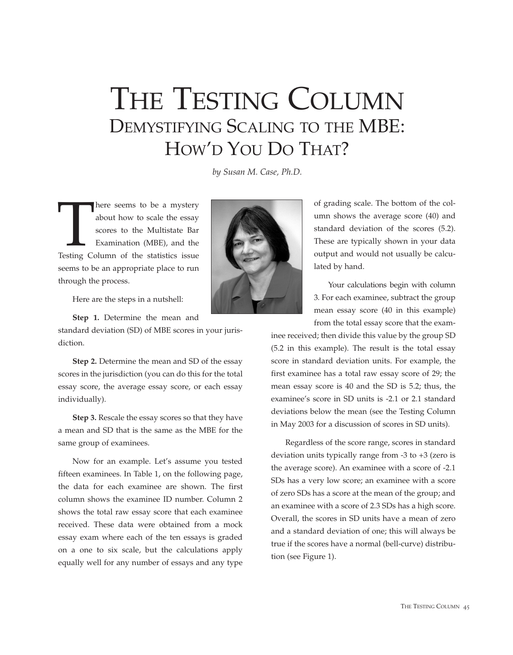## THE TESTING COLUMN DEMYSTIFYING SCALING TO THE MBE: HOW'D YOU DO THAT?

*by Susan M. Case, Ph.D.*

There seems to be a mystery<br>
about how to scale the essay<br>
scores to the Multistate Bar<br>
Examination (MBE), and the<br>
Testing Column of the statistics issue about how to scale the essay scores to the Multistate Bar Examination (MBE), and the seems to be an appropriate place to run through the process.



Here are the steps in a nutshell:

**Step 1.** Determine the mean and

standard deviation (SD) of MBE scores in your jurisdiction.

**Step 2.** Determine the mean and SD of the essay scores in the jurisdiction (you can do this for the total essay score, the average essay score, or each essay individually).

**Step 3.** Rescale the essay scores so that they have a mean and SD that is the same as the MBE for the same group of examinees.

Now for an example. Let's assume you tested fifteen examinees. In Table 1, on the following page, the data for each examinee are shown. The first column shows the examinee ID number. Column 2 shows the total raw essay score that each examinee received. These data were obtained from a mock essay exam where each of the ten essays is graded on a one to six scale, but the calculations apply equally well for any number of essays and any type

of grading scale. The bottom of the column shows the average score (40) and standard deviation of the scores (5.2). These are typically shown in your data output and would not usually be calculated by hand.

Your calculations begin with column 3. For each examinee, subtract the group mean essay score (40 in this example) from the total essay score that the exam-

inee received; then divide this value by the group SD (5.2 in this example). The result is the total essay score in standard deviation units. For example, the first examinee has a total raw essay score of 29; the mean essay score is 40 and the SD is 5.2; thus, the examinee's score in SD units is -2.1 or 2.1 standard deviations below the mean (see the Testing Column in May 2003 for a discussion of scores in SD units).

Regardless of the score range, scores in standard deviation units typically range from -3 to +3 (zero is the average score). An examinee with a score of -2.1 SDs has a very low score; an examinee with a score of zero SDs has a score at the mean of the group; and an examinee with a score of 2.3 SDs has a high score. Overall, the scores in SD units have a mean of zero and a standard deviation of one; this will always be true if the scores have a normal (bell-curve) distribution (see Figure 1).